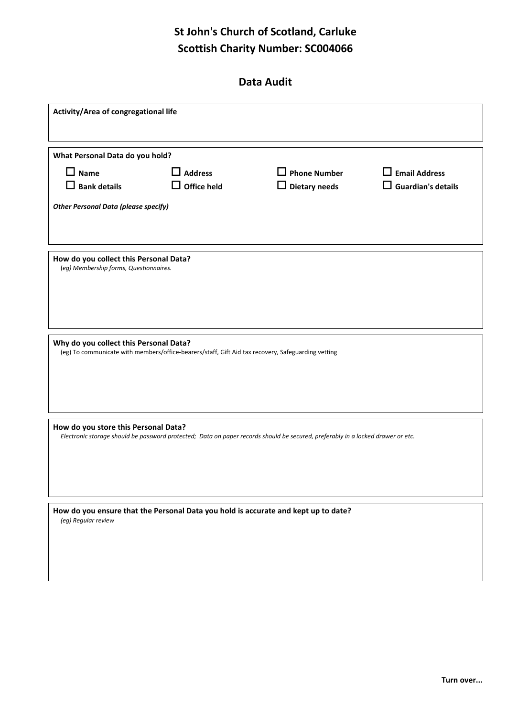## **St John's Church of Scotland, Carluke Scottish Charity Number: SC004066**

|  | Data Audit |
|--|------------|
|--|------------|

| Activity/Area of congregational life                                                                                                                                    |                                                       |                                                                                    |                                                   |  |
|-------------------------------------------------------------------------------------------------------------------------------------------------------------------------|-------------------------------------------------------|------------------------------------------------------------------------------------|---------------------------------------------------|--|
| What Personal Data do you hold?                                                                                                                                         |                                                       |                                                                                    |                                                   |  |
| $\Box$ Name<br>$\Box$ Bank details                                                                                                                                      | $\overline{\mathsf{J}}$ Address<br>$\Box$ Office held | $\Box$ Phone Number<br>$\Box$ Dietary needs                                        | $\Box$ Email Address<br>$\Box$ Guardian's details |  |
| <b>Other Personal Data (please specify)</b>                                                                                                                             |                                                       |                                                                                    |                                                   |  |
|                                                                                                                                                                         |                                                       |                                                                                    |                                                   |  |
| How do you collect this Personal Data?<br>(eg) Membership forms, Questionnaires.                                                                                        |                                                       |                                                                                    |                                                   |  |
| Why do you collect this Personal Data?<br>(eg) To communicate with members/office-bearers/staff, Gift Aid tax recovery, Safeguarding vetting                            |                                                       |                                                                                    |                                                   |  |
| How do you store this Personal Data?<br>Electronic storage should be password protected; Data on paper records should be secured, preferably in a locked drawer or etc. |                                                       |                                                                                    |                                                   |  |
| (eg) Regular review                                                                                                                                                     |                                                       | How do you ensure that the Personal Data you hold is accurate and kept up to date? |                                                   |  |